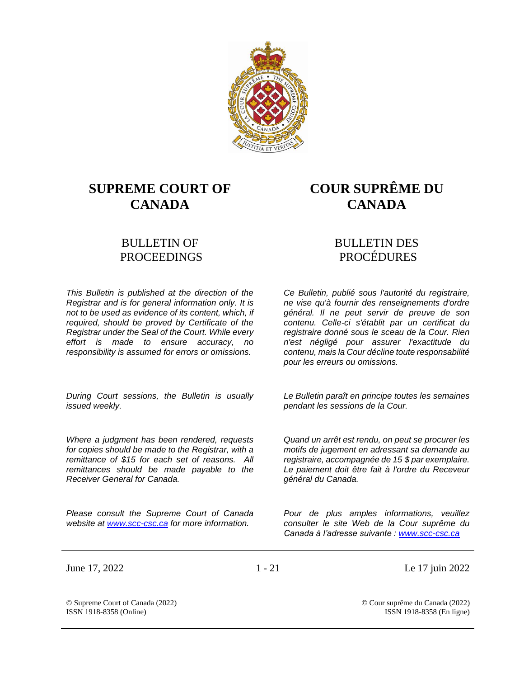

# **SUPREME COURT OF CANADA**

# BULLETIN OF **PROCEEDINGS**

*This Bulletin is published at the direction of the Registrar and is for general information only. It is not to be used as evidence of its content, which, if required, should be proved by Certificate of the Registrar under the Seal of the Court. While every effort is made to ensure accuracy, no responsibility is assumed for errors or omissions.*

*During Court sessions, the Bulletin is usually issued weekly.*

*Where a judgment has been rendered, requests for copies should be made to the Registrar, with a remittance of \$15 for each set of reasons. All remittances should be made payable to the Receiver General for Canada.*

*Please consult the Supreme Court of Canada website at [www.scc-csc.ca](https://www.scc-csc.ca/) for more information.*

# **COUR SUPRÊME DU CANADA**

# BULLETIN DES PROCÉDURES

*Ce Bulletin, publié sous l'autorité du registraire, ne vise qu'à fournir des renseignements d'ordre général. Il ne peut servir de preuve de son contenu. Celle-ci s'établit par un certificat du registraire donné sous le sceau de la Cour. Rien n'est négligé pour assurer l'exactitude du contenu, mais la Cour décline toute responsabilité pour les erreurs ou omissions.*

*Le Bulletin paraît en principe toutes les semaines pendant les sessions de la Cour.*

*Quand un arrêt est rendu, on peut se procurer les motifs de jugement en adressant sa demande au registraire, accompagnée de 15 \$ par exemplaire. Le paiement doit être fait à l'ordre du Receveur général du Canada.*

*Pour de plus amples informations, veuillez consulter le site Web de la Cour suprême du Canada à l'adresse suivante : [www.scc-csc.ca](https://www.scc-csc.ca/)*

June 17, 2022 1 - 21 Le 17 juin 2022

© Supreme Court of Canada (2022) ISSN 1918-8358 (Online)

© Cour suprême du Canada (2022) ISSN 1918-8358 (En ligne)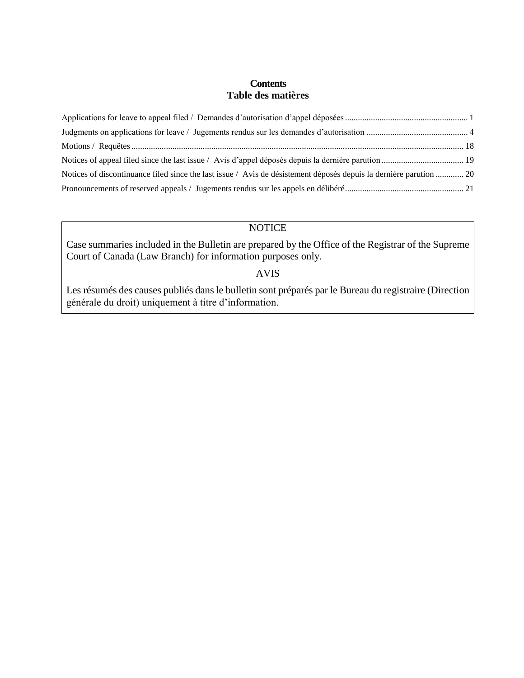### **Contents Table des matières**

| Notices of discontinuance filed since the last issue / Avis de désistement déposés depuis la dernière parution  20 |  |
|--------------------------------------------------------------------------------------------------------------------|--|
|                                                                                                                    |  |

# **NOTICE**

Case summaries included in the Bulletin are prepared by the Office of the Registrar of the Supreme Court of Canada (Law Branch) for information purposes only.

# AVIS

Les résumés des causes publiés dans le bulletin sont préparés par le Bureau du registraire (Direction générale du droit) uniquement à titre d'information.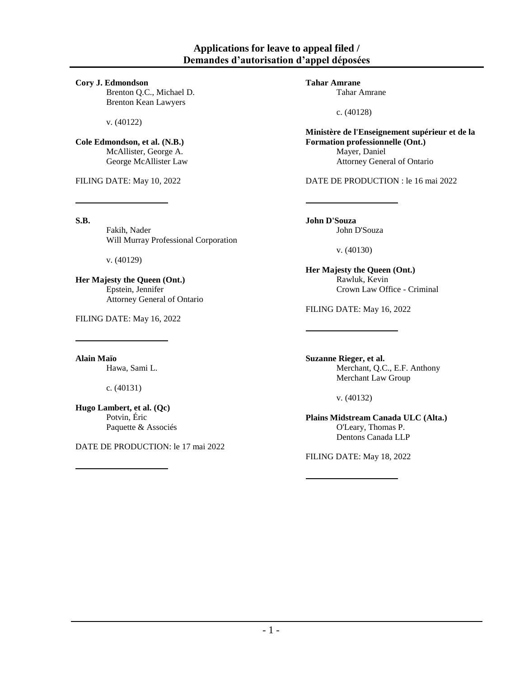## **Applications for leave to appeal filed / Demandes d'autorisation d'appel déposées**

#### <span id="page-2-0"></span>**Cory J. Edmondson**

Brenton Q.C., Michael D. Brenton Kean Lawyers

v. (40122)

**Cole Edmondson, et al. (N.B.)** McAllister, George A. George McAllister Law

FILING DATE: May 10, 2022

**S.B.**

Fakih, Nader Will Murray Professional Corporation

v. (40129)

**Her Majesty the Queen (Ont.)** Epstein, Jennifer Attorney General of Ontario

FILING DATE: May 16, 2022

**Alain Maïo** Hawa, Sami L.

c. (40131)

**Hugo Lambert, et al. (Qc)** Potvin, Éric Paquette & Associés

DATE DE PRODUCTION: le 17 mai 2022

**Tahar Amrane** Tahar Amrane

c. (40128)

**Ministère de l'Enseignement supérieur et de la Formation professionnelle (Ont.)** Mayer, Daniel Attorney General of Ontario

DATE DE PRODUCTION : le 16 mai 2022

**John D'Souza** John D'Souza

v. (40130)

**Her Majesty the Queen (Ont.)** Rawluk, Kevin Crown Law Office - Criminal

FILING DATE: May 16, 2022

**Suzanne Rieger, et al.** Merchant, Q.C., E.F. Anthony Merchant Law Group

v. (40132)

**Plains Midstream Canada ULC (Alta.)** O'Leary, Thomas P. Dentons Canada LLP

FILING DATE: May 18, 2022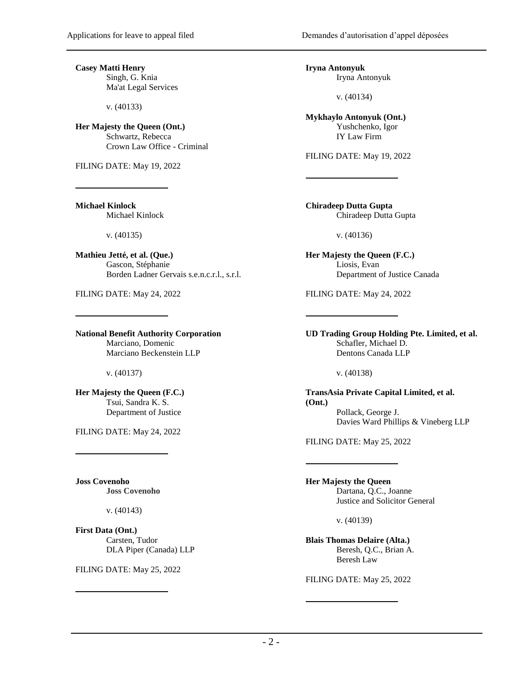**Casey Matti Henry** Singh, G. Knia Ma'at Legal Services

v. (40133)

**Her Majesty the Queen (Ont.)** Schwartz, Rebecca Crown Law Office - Criminal

FILING DATE: May 19, 2022

**Michael Kinlock** Michael Kinlock

v. (40135)

**Mathieu Jetté, et al. (Que.)** Gascon, Stéphanie Borden Ladner Gervais s.e.n.c.r.l., s.r.l.

FILING DATE: May 24, 2022

**National Benefit Authority Corporation** Marciano, Domenic Marciano Beckenstein LLP

v. (40137)

**Her Majesty the Queen (F.C.)** Tsui, Sandra K. S. Department of Justice

FILING DATE: May 24, 2022

**Joss Covenoho Joss Covenoho**

v. (40143)

**First Data (Ont.)** Carsten, Tudor DLA Piper (Canada) LLP

FILING DATE: May 25, 2022

**Iryna Antonyuk** Iryna Antonyuk

v. (40134)

**Mykhaylo Antonyuk (Ont.)** Yushchenko, Igor IY Law Firm

FILING DATE: May 19, 2022

**Chiradeep Dutta Gupta** Chiradeep Dutta Gupta

v. (40136)

**Her Majesty the Queen (F.C.)** Liosis, Evan Department of Justice Canada

FILING DATE: May 24, 2022

**UD Trading Group Holding Pte. Limited, et al.** Schafler, Michael D. Dentons Canada LLP

v. (40138)

**TransAsia Private Capital Limited, et al. (Ont.)** Pollack, George J. Davies Ward Phillips & Vineberg LLP

FILING DATE: May 25, 2022

**Her Majesty the Queen** Dartana, Q.C., Joanne Justice and Solicitor General

v. (40139)

**Blais Thomas Delaire (Alta.)** Beresh, Q.C., Brian A. Beresh Law

FILING DATE: May 25, 2022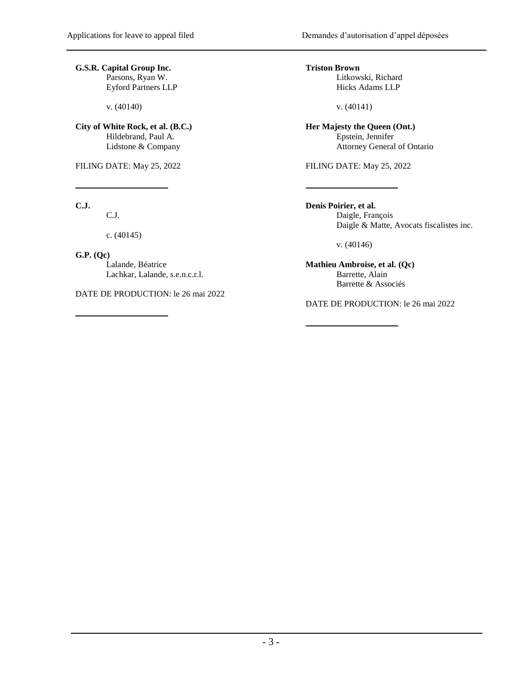**G.S.R. Capital Group Inc.** Parsons, Ryan W. Eyford Partners LLP

v. (40140)

**City of White Rock, et al. (B.C.)** Hildebrand, Paul A. Lidstone & Company

FILING DATE: May 25, 2022

**C.J.**

C.J.

c. (40145)

**G.P. (Qc)** Lalande, Béatrice Lachkar, Lalande, s.e.n.c.r.l.

DATE DE PRODUCTION: le 26 mai 2022

**Triston Brown** Litkowski, Richard Hicks Adams LLP

v. (40141)

**Her Majesty the Queen (Ont.)** Epstein, Jennifer Attorney General of Ontario

FILING DATE: May 25, 2022

**Denis Poirier, et al.** Daigle, François Daigle & Matte, Avocats fiscalistes inc.

v. (40146)

**Mathieu Ambroise, et al. (Qc)** Barrette, Alain Barrette & Associés

DATE DE PRODUCTION: le 26 mai 2022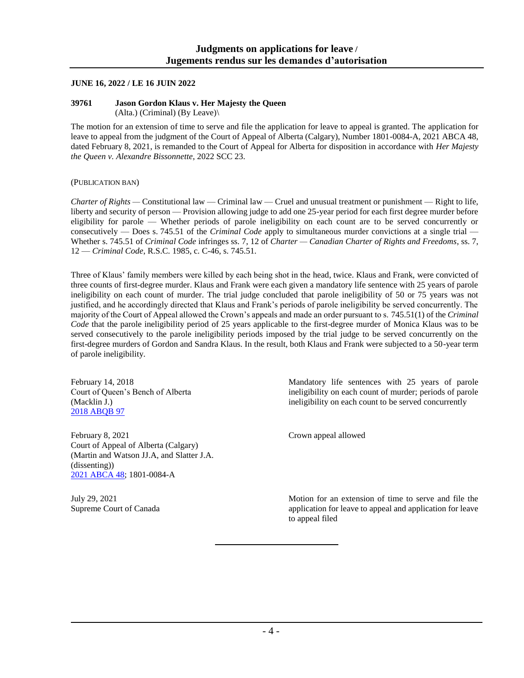#### <span id="page-5-0"></span>**JUNE 16, 2022 / LE 16 JUIN 2022**

### **39761 Jason Gordon Klaus v. Her Majesty the Queen**

(Alta.) (Criminal) (By Leave)\

The motion for an extension of time to serve and file the application for leave to appeal is granted. The application for leave to appeal from the judgment of the Court of Appeal of Alberta (Calgary), Number 1801-0084-A, 2021 ABCA 48, dated February 8, 2021, is remanded to the Court of Appeal for Alberta for disposition in accordance with *Her Majesty the Queen v. Alexandre Bissonnette*, 2022 SCC 23.

(PUBLICATION BAN)

*Charter of Rights* — Constitutional law — Criminal law — Cruel and unusual treatment or punishment — Right to life, liberty and security of person — Provision allowing judge to add one 25-year period for each first degree murder before eligibility for parole — Whether periods of parole ineligibility on each count are to be served concurrently or consecutively — Does s. 745.51 of the *Criminal Code* apply to simultaneous murder convictions at a single trial — Whether s. 745.51 of *Criminal Code* infringes ss. 7, 12 of *Charter — Canadian Charter of Rights and Freedoms*, ss. 7, 12 — *Criminal Code*, R.S.C. 1985, c. C-46, s. 745.51.

Three of Klaus' family members were killed by each being shot in the head, twice. Klaus and Frank, were convicted of three counts of first-degree murder. Klaus and Frank were each given a mandatory life sentence with 25 years of parole ineligibility on each count of murder. The trial judge concluded that parole ineligibility of 50 or 75 years was not justified, and he accordingly directed that Klaus and Frank's periods of parole ineligibility be served concurrently. The majority of the Court of Appeal allowed the Crown's appeals and made an order pursuant to s. 745.51(1) of the *Criminal Code* that the parole ineligibility period of 25 years applicable to the first-degree murder of Monica Klaus was to be served consecutively to the parole ineligibility periods imposed by the trial judge to be served concurrently on the first-degree murders of Gordon and Sandra Klaus. In the result, both Klaus and Frank were subjected to a 50-year term of parole ineligibility.

February 14, 2018 Court of Queen's Bench of Alberta (Macklin J.) [2018 ABQB](https://canlii.ca/t/hqf49) 97

February 8, 2021 Court of Appeal of Alberta (Calgary) (Martin and Watson JJ.A, and Slatter J.A. (dissenting)) [2021 ABCA 48;](https://canlii.ca/t/jd1v1) 1801-0084-A

July 29, 2021 Supreme Court of Canada Mandatory life sentences with 25 years of parole ineligibility on each count of murder; periods of parole ineligibility on each count to be served concurrently

Crown appeal allowed

Motion for an extension of time to serve and file the application for leave to appeal and application for leave to appeal filed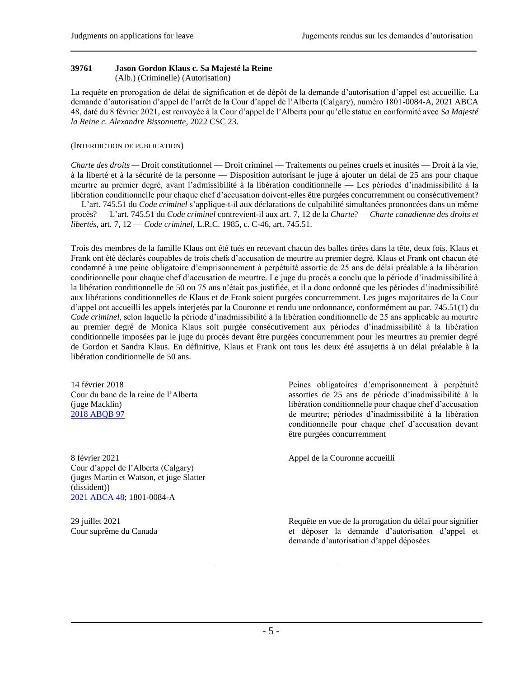### **39761 Jason Gordon Klaus c. Sa Majesté la Reine**

(Alb.) (Criminelle) (Autorisation)

La requête en prorogation de délai de signification et de dépôt de la demande d'autorisation d'appel est accueillie. La demande d'autorisation d'appel de l'arrêt de la Cour d'appel de l'Alberta (Calgary), numéro 1801-0084-A, 2021 ABCA 48, daté du 8 février 2021, est renvoyée à la Cour d'appel de l'Alberta pour qu'elle statue en conformité avec *Sa Majesté la Reine c. Alexandre Bissonnette*, 2022 CSC 23.

#### (INTERDICTION DE PUBLICATION)

*Charte des droits —* Droit constitutionnel — Droit criminel — Traitements ou peines cruels et inusités — Droit à la vie, à la liberté et à la sécurité de la personne — Disposition autorisant le juge à ajouter un délai de 25 ans pour chaque meurtre au premier degré, avant l'admissibilité à la libération conditionnelle — Les périodes d'inadmissibilité à la libération conditionnelle pour chaque chef d'accusation doivent-elles être purgées concurremment ou consécutivement? — L'art. 745.51 du *Code criminel* s'applique-t-il aux déclarations de culpabilité simultanées prononcées dans un même procès? — L'art. 745.51 du *Code criminel* contrevient-il aux art. 7, 12 de la *Charte*? *— Charte canadienne des droits et libertés*, art. 7, 12 — *Code criminel*, L.R.C. 1985, c. C-46, art. 745.51.

Trois des membres de la famille Klaus ont été tués en recevant chacun des balles tirées dans la tête, deux fois. Klaus et Frank ont été déclarés coupables de trois chefs d'accusation de meurtre au premier degré. Klaus et Frank ont chacun été condamné à une peine obligatoire d'emprisonnement à perpétuité assortie de 25 ans de délai préalable à la libération conditionnelle pour chaque chef d'accusation de meurtre. Le juge du procès a conclu que la période d'inadmissibilité à la libération conditionnelle de 50 ou 75 ans n'était pas justifiée, et il a donc ordonné que les périodes d'inadmissibilité aux libérations conditionnelles de Klaus et de Frank soient purgées concurremment. Les juges majoritaires de la Cour d'appel ont accueilli les appels interjetés par la Couronne et rendu une ordonnance, conformément au par. 745.51(1) du *Code criminel*, selon laquelle la période d'inadmissibilité à la libération conditionnelle de 25 ans applicable au meurtre au premier degré de Monica Klaus soit purgée consécutivement aux périodes d'inadmissibilité à la libération conditionnelle imposées par le juge du procès devant être purgées concurremment pour les meurtres au premier degré de Gordon et Sandra Klaus. En définitive, Klaus et Frank ont tous les deux été assujettis à un délai préalable à la libération conditionnelle de 50 ans.

14 février 2018 Cour du banc de la reine de l'Alberta (juge Macklin) [2018 ABQB 97](https://canlii.ca/t/hqf49)

8 février 2021 Cour d'appel de l'Alberta (Calgary) (juges Martin et Watson, et juge Slatter (dissident)) [2021 ABCA 48;](https://canlii.ca/t/jd1v1) 1801-0084-A

29 juillet 2021 Cour suprême du Canada Peines obligatoires d'emprisonnement à perpétuité assorties de 25 ans de période d'inadmissibilité à la libération conditionnelle pour chaque chef d'accusation de meurtre; périodes d'inadmissibilité à la libération conditionnelle pour chaque chef d'accusation devant être purgées concurremment

Appel de la Couronne accueilli

Requête en vue de la prorogation du délai pour signifier et déposer la demande d'autorisation d'appel et demande d'autorisation d'appel déposées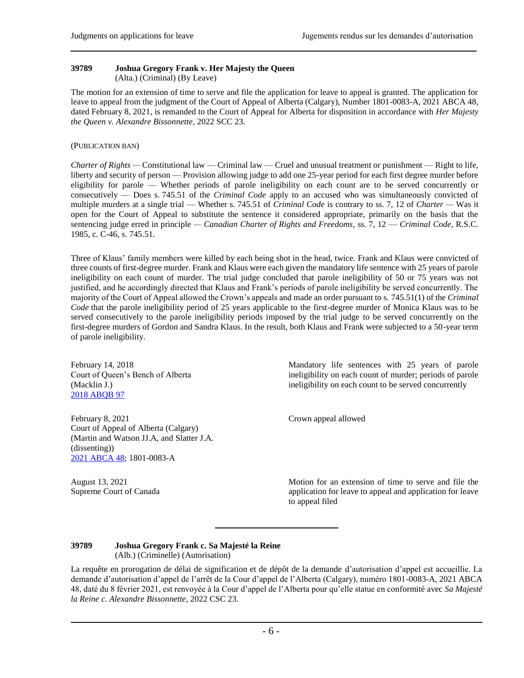### **39789 Joshua Gregory Frank v. Her Majesty the Queen**

(Alta.) (Criminal) (By Leave)

The motion for an extension of time to serve and file the application for leave to appeal is granted. The application for leave to appeal from the judgment of the Court of Appeal of Alberta (Calgary), Number 1801-0083-A, 2021 ABCA 48, dated February 8, 2021, is remanded to the Court of Appeal for Alberta for disposition in accordance with *Her Majesty the Queen v. Alexandre Bissonnette*, 2022 SCC 23.

(PUBLICATION BAN)

*Charter of Rights* — Constitutional law — Criminal law — Cruel and unusual treatment or punishment — Right to life, liberty and security of person — Provision allowing judge to add one 25-year period for each first degree murder before eligibility for parole — Whether periods of parole ineligibility on each count are to be served concurrently or consecutively — Does s. 745.51 of the *Criminal Code* apply to an accused who was simultaneously convicted of multiple murders at a single trial — Whether s. 745.51 of *Criminal Code* is contrary to ss. 7, 12 of *Charter —* Was it open for the Court of Appeal to substitute the sentence it considered appropriate, primarily on the basis that the sentencing judge erred in principle *— Canadian Charter of Rights and Freedoms*, ss. 7, 12 — *Criminal Code*, R.S.C. 1985, c. C-46, s. 745.51.

Three of Klaus' family members were killed by each being shot in the head, twice. Frank and Klaus were convicted of three counts of first-degree murder. Frank and Klaus were each given the mandatory life sentence with 25 years of parole ineligibility on each count of murder. The trial judge concluded that parole ineligibility of 50 or 75 years was not justified, and he accordingly directed that Klaus and Frank's periods of parole ineligibility be served concurrently. The majority of the Court of Appeal allowed the Crown's appeals and made an order pursuant to s. 745.51(1) of the *Criminal Code* that the parole ineligibility period of 25 years applicable to the first-degree murder of Monica Klaus was to be served consecutively to the parole ineligibility periods imposed by the trial judge to be served concurrently on the first-degree murders of Gordon and Sandra Klaus. In the result, both Klaus and Frank were subjected to a 50-year term of parole ineligibility.

February 14, 2018 Court of Queen's Bench of Alberta (Macklin J.) [2018 ABQB 97](https://canlii.ca/t/hqf49)

February 8, 2021 Court of Appeal of Alberta (Calgary) (Martin and Watson JJ.A, and Slatter J.A. (dissenting)) [2021 ABCA 48;](https://canlii.ca/t/jd1v1) 1801-0083-A

August 13, 2021 Supreme Court of Canada Mandatory life sentences with 25 years of parole ineligibility on each count of murder; periods of parole ineligibility on each count to be served concurrently

Crown appeal allowed

Motion for an extension of time to serve and file the application for leave to appeal and application for leave to appeal filed

#### **39789 Joshua Gregory Frank c. Sa Majesté la Reine** (Alb.) (Criminelle) (Autorisation)

La requête en prorogation de délai de signification et de dépôt de la demande d'autorisation d'appel est accueillie. La demande d'autorisation d'appel de l'arrêt de la Cour d'appel de l'Alberta (Calgary), numéro 1801-0083-A, 2021 ABCA 48, daté du 8 février 2021, est renvoyée à la Cour d'appel de l'Alberta pour qu'elle statue en conformité avec *Sa Majesté la Reine c. Alexandre Bissonnette*, 2022 CSC 23.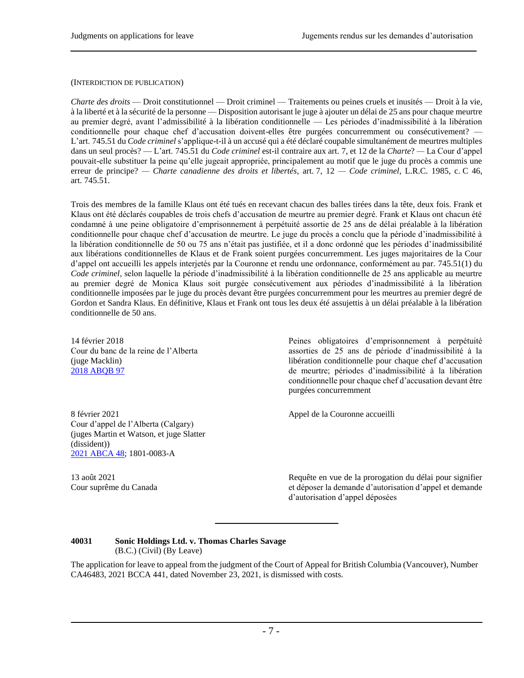(INTERDICTION DE PUBLICATION)

*Charte des droits* — Droit constitutionnel — Droit criminel — Traitements ou peines cruels et inusités — Droit à la vie, à la liberté et à la sécurité de la personne — Disposition autorisant le juge à ajouter un délai de 25 ans pour chaque meurtre au premier degré, avant l'admissibilité à la libération conditionnelle — Les périodes d'inadmissibilité à la libération conditionnelle pour chaque chef d'accusation doivent-elles être purgées concurremment ou consécutivement? — L'art. 745.51 du *Code criminel* s'applique-t-il à un accusé qui a été déclaré coupable simultanément de meurtres multiples dans un seul procès? — L'art. 745.51 du *Code criminel* est-il contraire aux art. 7, et 12 de la *Charte*? *—* La Cour d'appel pouvait-elle substituer la peine qu'elle jugeait appropriée, principalement au motif que le juge du procès a commis une erreur de principe? *— Charte canadienne des droits et libertés*, art. 7, 12 *— Code criminel*, L.R.C. 1985, c. C 46, art. 745.51.

Trois des membres de la famille Klaus ont été tués en recevant chacun des balles tirées dans la tête, deux fois. Frank et Klaus ont été déclarés coupables de trois chefs d'accusation de meurtre au premier degré. Frank et Klaus ont chacun été condamné à une peine obligatoire d'emprisonnement à perpétuité assortie de 25 ans de délai préalable à la libération conditionnelle pour chaque chef d'accusation de meurtre. Le juge du procès a conclu que la période d'inadmissibilité à la libération conditionnelle de 50 ou 75 ans n'était pas justifiée, et il a donc ordonné que les périodes d'inadmissibilité aux libérations conditionnelles de Klaus et de Frank soient purgées concurremment. Les juges majoritaires de la Cour d'appel ont accueilli les appels interjetés par la Couronne et rendu une ordonnance, conformément au par. 745.51(1) du *Code criminel*, selon laquelle la période d'inadmissibilité à la libération conditionnelle de 25 ans applicable au meurtre au premier degré de Monica Klaus soit purgée consécutivement aux périodes d'inadmissibilité à la libération conditionnelle imposées par le juge du procès devant être purgées concurremment pour les meurtres au premier degré de Gordon et Sandra Klaus. En définitive, Klaus et Frank ont tous les deux été assujettis à un délai préalable à la libération conditionnelle de 50 ans.

14 février 2018 Cour du banc de la reine de l'Alberta (juge Macklin) [2018 ABQB 97](https://canlii.ca/t/hqf49)

8 février 2021 Cour d'appel de l'Alberta (Calgary) (juges Martin et Watson, et juge Slatter (dissident)) [2021 ABCA 48;](https://canlii.ca/t/jd1v1) 1801-0083-A

13 août 2021 Cour suprême du Canada Peines obligatoires d'emprisonnement à perpétuité assorties de 25 ans de période d'inadmissibilité à la libération conditionnelle pour chaque chef d'accusation de meurtre; périodes d'inadmissibilité à la libération conditionnelle pour chaque chef d'accusation devant être purgées concurremment

Appel de la Couronne accueilli

Requête en vue de la prorogation du délai pour signifier et déposer la demande d'autorisation d'appel et demande d'autorisation d'appel déposées

#### **40031 Sonic Holdings Ltd. v. Thomas Charles Savage** (B.C.) (Civil) (By Leave)

The application for leave to appeal from the judgment of the Court of Appeal for British Columbia (Vancouver), Number CA46483, 2021 BCCA 441, dated November 23, 2021, is dismissed with costs.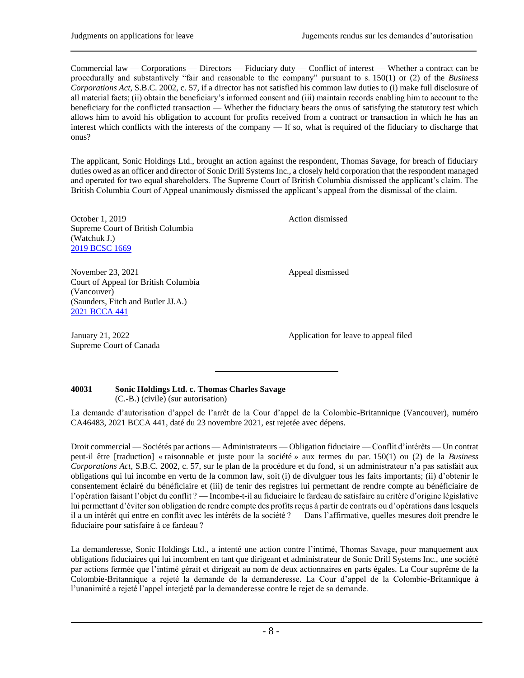Commercial law — Corporations — Directors — Fiduciary duty — Conflict of interest — Whether a contract can be procedurally and substantively "fair and reasonable to the company" pursuant to s. 150(1) or (2) of the *Business Corporations Act*, S.B.C. 2002, c. 57, if a director has not satisfied his common law duties to (i) make full disclosure of all material facts; (ii) obtain the beneficiary's informed consent and (iii) maintain records enabling him to account to the beneficiary for the conflicted transaction — Whether the fiduciary bears the onus of satisfying the statutory test which allows him to avoid his obligation to account for profits received from a contract or transaction in which he has an interest which conflicts with the interests of the company — If so, what is required of the fiduciary to discharge that onus?

The applicant, Sonic Holdings Ltd., brought an action against the respondent, Thomas Savage, for breach of fiduciary duties owed as an officer and director of Sonic Drill Systems Inc., a closely held corporation that the respondent managed and operated for two equal shareholders. The Supreme Court of British Columbia dismissed the applicant's claim. The British Columbia Court of Appeal unanimously dismissed the applicant's appeal from the dismissal of the claim.

October 1, 2019 Supreme Court of British Columbia (Watchuk J.) [2019 BCSC 1669](https://canlii.ca/t/j2nn7)

November 23, 2021 Court of Appeal for British Columbia (Vancouver) (Saunders, Fitch and Butler JJ.A.) [2021 BCCA 441](https://canlii.ca/t/jklt7)

January 21, 2022 Supreme Court of Canada Action dismissed

Appeal dismissed

Application for leave to appeal filed

# **40031 Sonic Holdings Ltd. c. Thomas Charles Savage**

(C.-B.) (civile) (sur autorisation)

La demande d'autorisation d'appel de l'arrêt de la Cour d'appel de la Colombie-Britannique (Vancouver), numéro CA46483, 2021 BCCA 441, daté du 23 novembre 2021, est rejetée avec dépens.

Droit commercial — Sociétés par actions — Administrateurs — Obligation fiduciaire — Conflit d'intérêts — Un contrat peut-il être [traduction] « raisonnable et juste pour la société » aux termes du par. 150(1) ou (2) de la *Business Corporations Act*, S.B.C. 2002, c. 57, sur le plan de la procédure et du fond, si un administrateur n'a pas satisfait aux obligations qui lui incombe en vertu de la common law, soit (i) de divulguer tous les faits importants; (ii) d'obtenir le consentement éclairé du bénéficiaire et (iii) de tenir des registres lui permettant de rendre compte au bénéficiaire de l'opération faisant l'objet du conflit ? — Incombe-t-il au fiduciaire le fardeau de satisfaire au critère d'origine législative lui permettant d'éviter son obligation de rendre compte des profits reçus à partir de contrats ou d'opérations dans lesquels il a un intérêt qui entre en conflit avec les intérêts de la société ? — Dans l'affirmative, quelles mesures doit prendre le fiduciaire pour satisfaire à ce fardeau ?

La demanderesse, Sonic Holdings Ltd., a intenté une action contre l'intimé, Thomas Savage, pour manquement aux obligations fiduciaires qui lui incombent en tant que dirigeant et administrateur de Sonic Drill Systems Inc., une société par actions fermée que l'intimé gérait et dirigeait au nom de deux actionnaires en parts égales. La Cour suprême de la Colombie-Britannique a rejeté la demande de la demanderesse. La Cour d'appel de la Colombie-Britannique à l'unanimité a rejeté l'appel interjeté par la demanderesse contre le rejet de sa demande.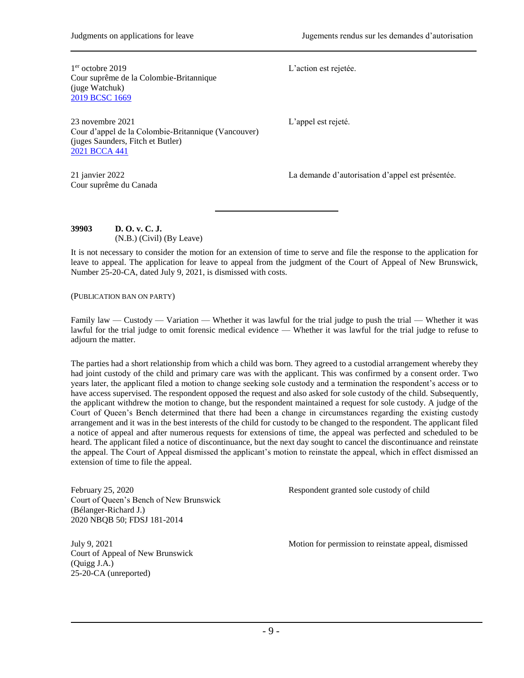1 er octobre 2019 Cour suprême de la Colombie-Britannique (juge Watchuk) [2019 BCSC 1669](https://canlii.ca/t/j2nn7)

23 novembre 2021 Cour d'appel de la Colombie-Britannique (Vancouver) (juges Saunders, Fitch et Butler) [2021 BCCA 441](https://canlii.ca/t/jklt7)

21 janvier 2022 Cour suprême du Canada L'action est rejetée.

L'appel est rejeté.

La demande d'autorisation d'appel est présentée.

**39903 D. O. v. C. J.** (N.B.) (Civil) (By Leave)

It is not necessary to consider the motion for an extension of time to serve and file the response to the application for leave to appeal. The application for leave to appeal from the judgment of the Court of Appeal of New Brunswick, Number 25-20-CA, dated July 9, 2021, is dismissed with costs.

(PUBLICATION BAN ON PARTY)

Family law — Custody — Variation — Whether it was lawful for the trial judge to push the trial — Whether it was lawful for the trial judge to omit forensic medical evidence — Whether it was lawful for the trial judge to refuse to adjourn the matter.

The parties had a short relationship from which a child was born. They agreed to a custodial arrangement whereby they had joint custody of the child and primary care was with the applicant. This was confirmed by a consent order. Two years later, the applicant filed a motion to change seeking sole custody and a termination the respondent's access or to have access supervised. The respondent opposed the request and also asked for sole custody of the child. Subsequently, the applicant withdrew the motion to change, but the respondent maintained a request for sole custody. A judge of the Court of Queen's Bench determined that there had been a change in circumstances regarding the existing custody arrangement and it was in the best interests of the child for custody to be changed to the respondent. The applicant filed a notice of appeal and after numerous requests for extensions of time, the appeal was perfected and scheduled to be heard. The applicant filed a notice of discontinuance, but the next day sought to cancel the discontinuance and reinstate the appeal. The Court of Appeal dismissed the applicant's motion to reinstate the appeal, which in effect dismissed an extension of time to file the appeal.

February 25, 2020 Court of Queen's Bench of New Brunswick (Bélanger-Richard J.) 2020 NBQB 50; FDSJ 181-2014

July 9, 2021 Court of Appeal of New Brunswick (Quigg J.A.) 25-20-CA (unreported)

Respondent granted sole custody of child

Motion for permission to reinstate appeal, dismissed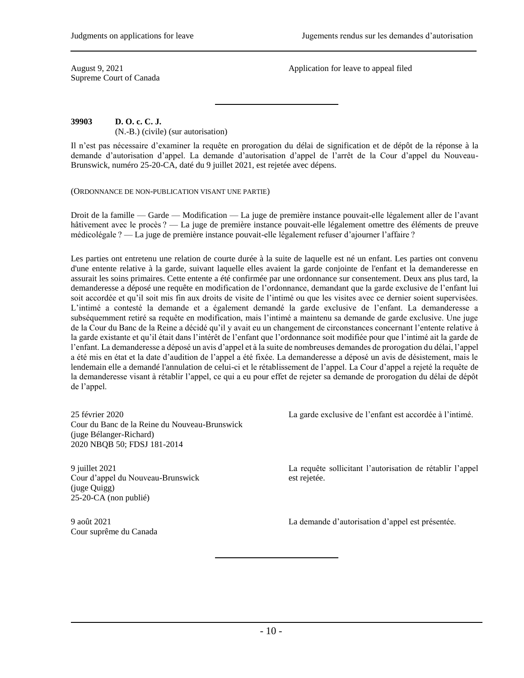August 9, 2021 Supreme Court of Canada Application for leave to appeal filed

**39903 D. O. c. C. J.** (N.-B.) (civile) (sur autorisation)

Il n'est pas nécessaire d'examiner la requête en prorogation du délai de signification et de dépôt de la réponse à la demande d'autorisation d'appel. La demande d'autorisation d'appel de l'arrêt de la Cour d'appel du Nouveau-Brunswick, numéro 25-20-CA, daté du 9 juillet 2021, est rejetée avec dépens.

(ORDONNANCE DE NON-PUBLICATION VISANT UNE PARTIE)

Droit de la famille — Garde — Modification — La juge de première instance pouvait-elle légalement aller de l'avant hâtivement avec le procès ? — La juge de première instance pouvait-elle légalement omettre des éléments de preuve médicolégale ? — La juge de première instance pouvait-elle légalement refuser d'ajourner l'affaire ?

Les parties ont entretenu une relation de courte durée à la suite de laquelle est né un enfant. Les parties ont convenu d'une entente relative à la garde, suivant laquelle elles avaient la garde conjointe de l'enfant et la demanderesse en assurait les soins primaires. Cette entente a été confirmée par une ordonnance sur consentement. Deux ans plus tard, la demanderesse a déposé une requête en modification de l'ordonnance, demandant que la garde exclusive de l'enfant lui soit accordée et qu'il soit mis fin aux droits de visite de l'intimé ou que les visites avec ce dernier soient supervisées. L'intimé a contesté la demande et a également demandé la garde exclusive de l'enfant. La demanderesse a subséquemment retiré sa requête en modification, mais l'intimé a maintenu sa demande de garde exclusive. Une juge de la Cour du Banc de la Reine a décidé qu'il y avait eu un changement de circonstances concernant l'entente relative à la garde existante et qu'il était dans l'intérêt de l'enfant que l'ordonnance soit modifiée pour que l'intimé ait la garde de l'enfant. La demanderesse a déposé un avis d'appel et à la suite de nombreuses demandes de prorogation du délai, l'appel a été mis en état et la date d'audition de l'appel a été fixée. La demanderesse a déposé un avis de désistement, mais le lendemain elle a demandé l'annulation de celui-ci et le rétablissement de l'appel. La Cour d'appel a rejeté la requête de la demanderesse visant à rétablir l'appel, ce qui a eu pour effet de rejeter sa demande de prorogation du délai de dépôt de l'appel.

25 février 2020 Cour du Banc de la Reine du Nouveau-Brunswick (juge Bélanger-Richard) 2020 NBQB 50; FDSJ 181-2014

9 juillet 2021 Cour d'appel du Nouveau-Brunswick (juge Quigg) 25-20-CA (non publié)

9 août 2021 Cour suprême du Canada La garde exclusive de l'enfant est accordée à l'intimé.

La requête sollicitant l'autorisation de rétablir l'appel est rejetée.

La demande d'autorisation d'appel est présentée.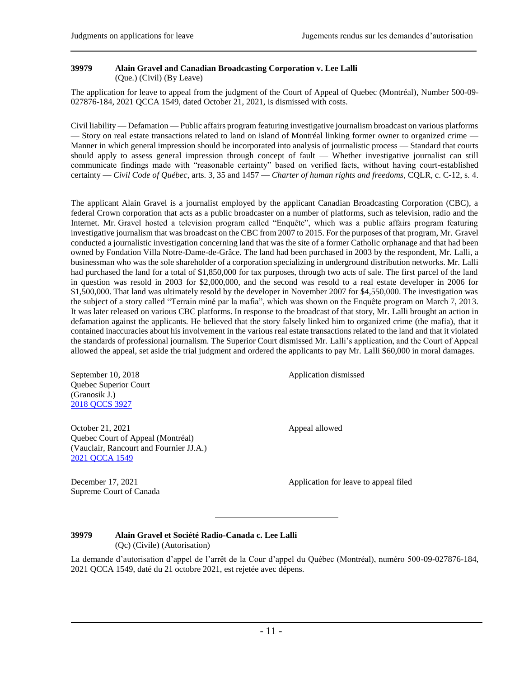#### **39979 Alain Gravel and Canadian Broadcasting Corporation v. Lee Lalli** (Que.) (Civil) (By Leave)

The application for leave to appeal from the judgment of the Court of Appeal of Quebec (Montréal), Number 500-09- 027876-184, 2021 QCCA 1549, dated October 21, 2021, is dismissed with costs.

Civil liability — Defamation — Public affairs program featuring investigative journalism broadcast on various platforms — Story on real estate transactions related to land on island of Montréal linking former owner to organized crime — Manner in which general impression should be incorporated into analysis of journalistic process — Standard that courts should apply to assess general impression through concept of fault — Whether investigative journalist can still communicate findings made with "reasonable certainty" based on verified facts, without having court-established certainty ⸺ *Civil Code of Québec*, arts. 3, 35 and 1457 ⸺ *Charter of human rights and freedoms*, CQLR, c. C-12, s. 4.

The applicant Alain Gravel is a journalist employed by the applicant Canadian Broadcasting Corporation (CBC), a federal Crown corporation that acts as a public broadcaster on a number of platforms, such as television, radio and the Internet. Mr. Gravel hosted a television program called "Enquête", which was a public affairs program featuring investigative journalism that was broadcast on the CBC from 2007 to 2015. For the purposes of that program, Mr. Gravel conducted a journalistic investigation concerning land that was the site of a former Catholic orphanage and that had been owned by Fondation Villa Notre-Dame-de-Grâce. The land had been purchased in 2003 by the respondent, Mr. Lalli, a businessman who was the sole shareholder of a corporation specializing in underground distribution networks. Mr. Lalli had purchased the land for a total of \$1,850,000 for tax purposes, through two acts of sale. The first parcel of the land in question was resold in 2003 for \$2,000,000, and the second was resold to a real estate developer in 2006 for \$1,500,000. That land was ultimately resold by the developer in November 2007 for \$4,550,000. The investigation was the subject of a story called "Terrain miné par la mafia", which was shown on the Enquête program on March 7, 2013. It was later released on various CBC platforms. In response to the broadcast of that story, Mr. Lalli brought an action in defamation against the applicants. He believed that the story falsely linked him to organized crime (the mafia), that it contained inaccuracies about his involvement in the various real estate transactions related to the land and that it violated the standards of professional journalism. The Superior Court dismissed Mr. Lalli's application, and the Court of Appeal allowed the appeal, set aside the trial judgment and ordered the applicants to pay Mr. Lalli \$60,000 in moral damages.

September 10, 2018 Quebec Superior Court (Granosik J.) [2018 QCCS 3927](https://www.canlii.org/fr/qc/qccs/doc/2018/2018qccs3927/2018qccs3927.pdf)

October 21, 2021 Quebec Court of Appeal (Montréal) (Vauclair, Rancourt and Fournier JJ.A.) [2021 QCCA 1549](https://www.canlii.org/fr/qc/qcca/doc/2021/2021qcca1549/2021qcca1549.pdf)

December 17, 2021 Supreme Court of Canada Application dismissed

Appeal allowed

Application for leave to appeal filed

#### **39979 Alain Gravel et Société Radio-Canada c. Lee Lalli** (Qc) (Civile) (Autorisation)

La demande d'autorisation d'appel de l'arrêt de la Cour d'appel du Québec (Montréal), numéro 500-09-027876-184, 2021 QCCA 1549, daté du 21 octobre 2021, est rejetée avec dépens.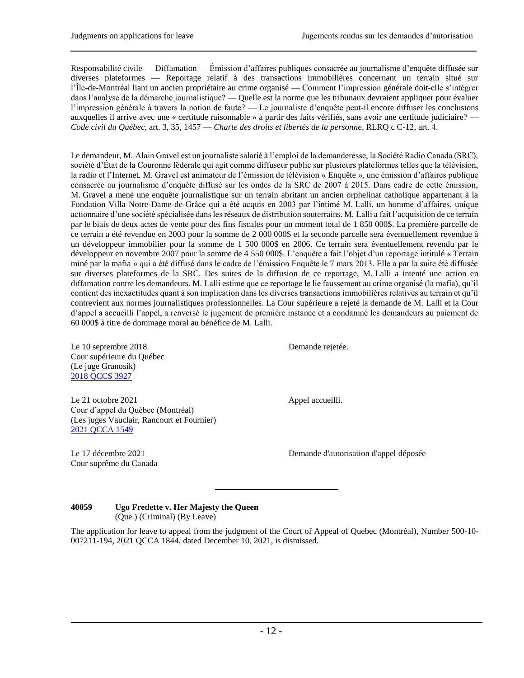Responsabilité civile — Diffamation — Émission d'affaires publiques consacrée au journalisme d'enquête diffusée sur diverses plateformes — Reportage relatif à des transactions immobilières concernant un terrain situé sur l'Île-de-Montréal liant un ancien propriétaire au crime organisé — Comment l'impression générale doit-elle s'intégrer dans l'analyse de la démarche journalistique? — Quelle est la norme que les tribunaux devraient appliquer pour évaluer l'impression générale à travers la notion de faute? — Le journaliste d'enquête peut-il encore diffuser les conclusions auxquelles il arrive avec une « certitude raisonnable » à partir des faits vérifiés, sans avoir une certitude judiciaire? ⸺ *Code civil du Québec*, art. 3, 35, 1457 ⸺ *Charte des droits et libertés de la personne*, RLRQ c C-12, art. 4.

Le demandeur, M. Alain Gravel est un journaliste salarié à l'emploi de la demanderesse, la Société Radio Canada (SRC), société d'État de la Couronne fédérale qui agit comme diffuseur public sur plusieurs plateformes telles que la télévision, la radio et l'Internet. M. Gravel est animateur de l'émission de télévision « Enquête », une émission d'affaires publique consacrée au journalisme d'enquête diffusé sur les ondes de la SRC de 2007 à 2015. Dans cadre de cette émission, M. Gravel a mené une enquête journalistique sur un terrain abritant un ancien orphelinat catholique appartenant à la Fondation Villa Notre-Dame-de-Grâce qui a été acquis en 2003 par l'intimé M. Lalli, un homme d'affaires, unique actionnaire d'une société spécialisée dans les réseaux de distribution souterrains. M. Lalli a fait l'acquisition de ce terrain par le biais de deux actes de vente pour des fins fiscales pour un moment total de 1 850 000\$. La première parcelle de ce terrain a été revendue en 2003 pour la somme de 2 000 000\$ et la seconde parcelle sera éventuellement revendue à un développeur immobilier pour la somme de 1 500 000\$ en 2006. Ce terrain sera éventuellement revendu par le développeur en novembre 2007 pour la somme de 4 550 000\$. L'enquête a fait l'objet d'un reportage intitulé « Terrain miné par la mafia » qui a été diffusé dans le cadre de l'émission Enquête le 7 mars 2013. Elle a par la suite été diffusée sur diverses plateformes de la SRC. Des suites de la diffusion de ce reportage, M. Lalli a intenté une action en diffamation contre les demandeurs. M. Lalli estime que ce reportage le lie faussement au crime organisé (la mafia), qu'il contient des inexactitudes quant à son implication dans les diverses transactions immobilières relatives au terrain et qu'il contrevient aux normes journalistiques professionnelles. La Cour supérieure a rejeté la demande de M. Lalli et la Cour d'appel a accueilli l'appel, a renversé le jugement de première instance et a condamné les demandeurs au paiement de 60 000\$ à titre de dommage moral au bénéfice de M. Lalli.

Le 10 septembre 2018 Cour supérieure du Québec (Le juge Granosik) [2018 QCCS 3927](https://www.canlii.org/fr/qc/qccs/doc/2018/2018qccs3927/2018qccs3927.pdf)

Le 21 octobre 2021 Cour d'appel du Québec (Montréal) (Les juges Vauclair, Rancourt et Fournier) [2021 QCCA 1549](https://www.canlii.org/fr/qc/qcca/doc/2021/2021qcca1549/2021qcca1549.pdf)

Le 17 décembre 2021 Cour suprême du Canada Demande rejetée.

Appel accueilli.

Demande d'autorisation d'appel déposée

#### **40059 Ugo Fredette v. Her Majesty the Queen** (Que.) (Criminal) (By Leave)

The application for leave to appeal from the judgment of the Court of Appeal of Quebec (Montréal), Number 500-10- 007211-194, 2021 QCCA 1844, dated December 10, 2021, is dismissed.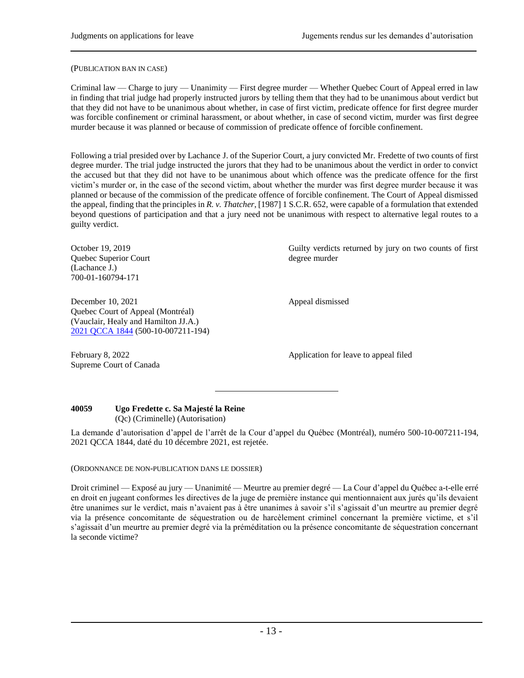(PUBLICATION BAN IN CASE)

Criminal law — Charge to jury — Unanimity — First degree murder — Whether Quebec Court of Appeal erred in law in finding that trial judge had properly instructed jurors by telling them that they had to be unanimous about verdict but that they did not have to be unanimous about whether, in case of first victim, predicate offence for first degree murder was forcible confinement or criminal harassment, or about whether, in case of second victim, murder was first degree murder because it was planned or because of commission of predicate offence of forcible confinement.

Following a trial presided over by Lachance J. of the Superior Court, a jury convicted Mr. Fredette of two counts of first degree murder. The trial judge instructed the jurors that they had to be unanimous about the verdict in order to convict the accused but that they did not have to be unanimous about which offence was the predicate offence for the first victim's murder or, in the case of the second victim, about whether the murder was first degree murder because it was planned or because of the commission of the predicate offence of forcible confinement. The Court of Appeal dismissed the appeal, finding that the principles in *R. v. Thatcher*, [1987] 1 S.C.R. 652, were capable of a formulation that extended beyond questions of participation and that a jury need not be unanimous with respect to alternative legal routes to a guilty verdict.

October 19, 2019 Quebec Superior Court (Lachance J.) 700-01-160794-171

December 10, 2021 Quebec Court of Appeal (Montréal) (Vauclair, Healy and Hamilton JJ.A.) [2021 QCCA 1844](https://www.canlii.org/en/qc/qcca/doc/2021/2021qcca1844/2021qcca1844.html?autocompleteStr=2021%20qcca%201844&autocompletePos=1) (500-10-007211-194)

February 8, 2022 Supreme Court of Canada Guilty verdicts returned by jury on two counts of first degree murder

Appeal dismissed

Application for leave to appeal filed

#### **40059 Ugo Fredette c. Sa Majesté la Reine** (Qc) (Criminelle) (Autorisation)

La demande d'autorisation d'appel de l'arrêt de la Cour d'appel du Québec (Montréal), numéro 500-10-007211-194, 2021 QCCA 1844, daté du 10 décembre 2021, est rejetée.

(ORDONNANCE DE NON-PUBLICATION DANS LE DOSSIER)

Droit criminel — Exposé au jury — Unanimité — Meurtre au premier degré — La Cour d'appel du Québec a-t-elle erré en droit en jugeant conformes les directives de la juge de première instance qui mentionnaient aux jurés qu'ils devaient être unanimes sur le verdict, mais n'avaient pas à être unanimes à savoir s'il s'agissait d'un meurtre au premier degré via la présence concomitante de séquestration ou de harcèlement criminel concernant la première victime, et s'il s'agissait d'un meurtre au premier degré via la préméditation ou la présence concomitante de séquestration concernant la seconde victime?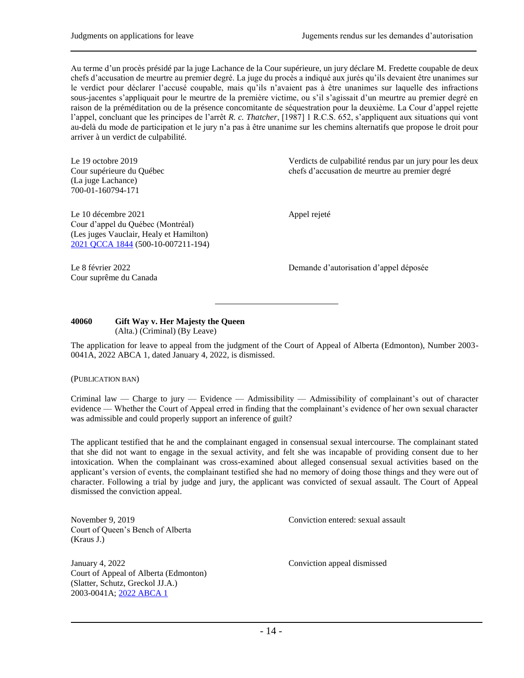Au terme d'un procès présidé par la juge Lachance de la Cour supérieure, un jury déclare M. Fredette coupable de deux chefs d'accusation de meurtre au premier degré. La juge du procès a indiqué aux jurés qu'ils devaient être unanimes sur le verdict pour déclarer l'accusé coupable, mais qu'ils n'avaient pas à être unanimes sur laquelle des infractions sous-jacentes s'appliquait pour le meurtre de la première victime, ou s'il s'agissait d'un meurtre au premier degré en raison de la préméditation ou de la présence concomitante de séquestration pour la deuxième. La Cour d'appel rejette l'appel, concluant que les principes de l'arrêt *R. c. Thatcher*, [1987] 1 R.C.S. 652, s'appliquent aux situations qui vont au-delà du mode de participation et le jury n'a pas à être unanime sur les chemins alternatifs que propose le droit pour arriver à un verdict de culpabilité.

Le 19 octobre 2019 Cour supérieure du Québec (La juge Lachance) 700-01-160794-171

Le 10 décembre 2021 Cour d'appel du Québec (Montréal) (Les juges Vauclair, Healy et Hamilton) [2021 QCCA 1844](https://www.canlii.org/en/qc/qcca/doc/2021/2021qcca1844/2021qcca1844.html?autocompleteStr=2021%20qcca%201844&autocompletePos=1) (500-10-007211-194) Verdicts de culpabilité rendus par un jury pour les deux chefs d'accusation de meurtre au premier degré

Appel rejeté

Le 8 février 2022 Cour suprême du Canada Demande d'autorisation d'appel déposée

**40060 Gift Way v. Her Majesty the Queen**

(Alta.) (Criminal) (By Leave)

The application for leave to appeal from the judgment of the Court of Appeal of Alberta (Edmonton), Number 2003- 0041A, 2022 ABCA 1, dated January 4, 2022, is dismissed.

(PUBLICATION BAN)

Criminal law — Charge to jury — Evidence — Admissibility — Admissibility of complainant's out of character evidence — Whether the Court of Appeal erred in finding that the complainant's evidence of her own sexual character was admissible and could properly support an inference of guilt?

The applicant testified that he and the complainant engaged in consensual sexual intercourse. The complainant stated that she did not want to engage in the sexual activity, and felt she was incapable of providing consent due to her intoxication. When the complainant was cross-examined about alleged consensual sexual activities based on the applicant's version of events, the complainant testified she had no memory of doing those things and they were out of character. Following a trial by judge and jury, the applicant was convicted of sexual assault. The Court of Appeal dismissed the conviction appeal.

November 9, 2019 Court of Queen's Bench of Alberta (Kraus J.)

January 4, 2022 Court of Appeal of Alberta (Edmonton) (Slatter, Schutz, Greckol JJ.A.) 2003-0041A[; 2022 ABCA 1](https://canlii.ca/t/jlk7f)

Conviction entered: sexual assault

Conviction appeal dismissed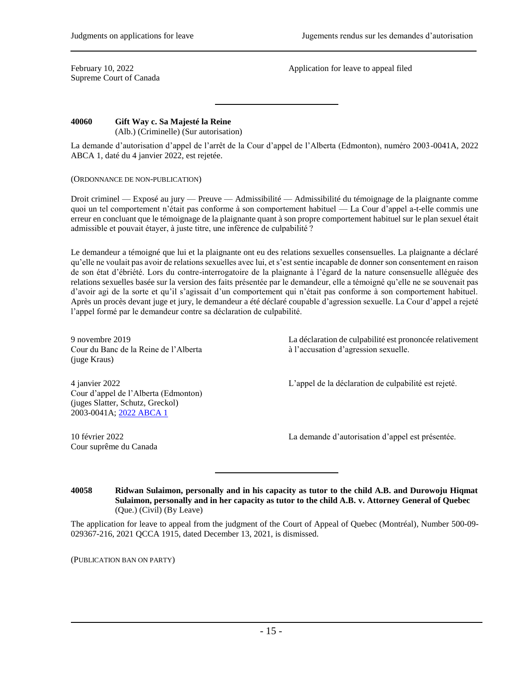February 10, 2022 Supreme Court of Canada Application for leave to appeal filed

**40060 Gift Way c. Sa Majesté la Reine** (Alb.) (Criminelle) (Sur autorisation)

La demande d'autorisation d'appel de l'arrêt de la Cour d'appel de l'Alberta (Edmonton), numéro 2003-0041A, 2022 ABCA 1, daté du 4 janvier 2022, est rejetée.

(ORDONNANCE DE NON-PUBLICATION)

Droit criminel — Exposé au jury — Preuve — Admissibilité — Admissibilité du témoignage de la plaignante comme quoi un tel comportement n'était pas conforme à son comportement habituel — La Cour d'appel a-t-elle commis une erreur en concluant que le témoignage de la plaignante quant à son propre comportement habituel sur le plan sexuel était admissible et pouvait étayer, à juste titre, une inférence de culpabilité ?

Le demandeur a témoigné que lui et la plaignante ont eu des relations sexuelles consensuelles. La plaignante a déclaré qu'elle ne voulait pas avoir de relations sexuelles avec lui, et s'est sentie incapable de donner son consentement en raison de son état d'ébriété. Lors du contre-interrogatoire de la plaignante à l'égard de la nature consensuelle alléguée des relations sexuelles basée sur la version des faits présentée par le demandeur, elle a témoigné qu'elle ne se souvenait pas d'avoir agi de la sorte et qu'il s'agissait d'un comportement qui n'était pas conforme à son comportement habituel. Après un procès devant juge et jury, le demandeur a été déclaré coupable d'agression sexuelle. La Cour d'appel a rejeté l'appel formé par le demandeur contre sa déclaration de culpabilité.

9 novembre 2019 Cour du Banc de la Reine de l'Alberta (juge Kraus)

4 janvier 2022 Cour d'appel de l'Alberta (Edmonton) (juges Slatter, Schutz, Greckol) 2003-0041A[; 2022 ABCA 1](https://canlii.ca/t/jlk7f)

10 février 2022 Cour suprême du Canada La déclaration de culpabilité est prononcée relativement à l'accusation d'agression sexuelle.

L'appel de la déclaration de culpabilité est rejeté.

La demande d'autorisation d'appel est présentée.

**40058 Ridwan Sulaimon, personally and in his capacity as tutor to the child A.B. and Durowoju Hiqmat Sulaimon, personally and in her capacity as tutor to the child A.B. v. Attorney General of Quebec** (Que.) (Civil) (By Leave)

The application for leave to appeal from the judgment of the Court of Appeal of Quebec (Montréal), Number 500-09- 029367-216, 2021 QCCA 1915, dated December 13, 2021, is dismissed.

(PUBLICATION BAN ON PARTY)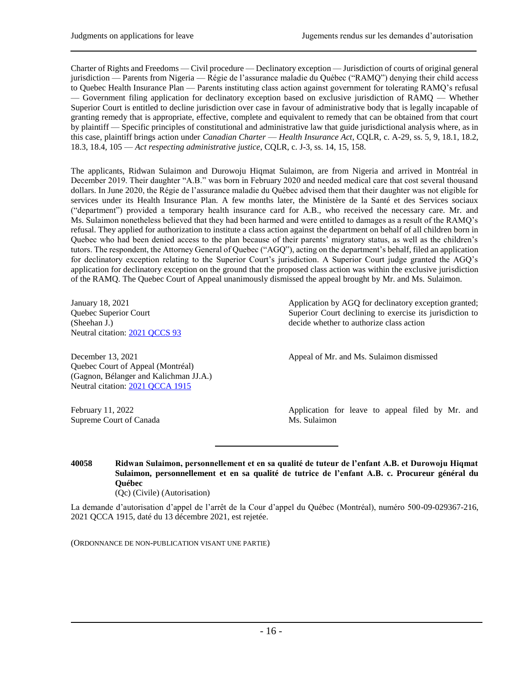Charter of Rights and Freedoms — Civil procedure ⸺ Declinatory exception ⸺ Jurisdiction of courts of original general jurisdiction ⸺ Parents from Nigeria — Régie de l'assurance maladie du Québec ("RAMQ") denying their child access to Quebec Health Insurance Plan — Parents instituting class action against government for tolerating RAMQ's refusal — Government filing application for declinatory exception based on exclusive jurisdiction of RAMQ — Whether Superior Court is entitled to decline jurisdiction over case in favour of administrative body that is legally incapable of granting remedy that is appropriate, effective, complete and equivalent to remedy that can be obtained from that court by plaintiff — Specific principles of constitutional and administrative law that guide jurisdictional analysis where, as in this case, plaintiff brings action under *Canadian Charter* — *Health Insurance Act*, CQLR, c. A-29, ss. 5, 9, 18.1, 18.2, 18.3, 18.4, 105 — *Act respecting administrative justice*, CQLR, c. J-3, ss. 14, 15, 158.

The applicants, Ridwan Sulaimon and Durowoju Hiqmat Sulaimon, are from Nigeria and arrived in Montréal in December 2019. Their daughter "A.B." was born in February 2020 and needed medical care that cost several thousand dollars. In June 2020, the Régie de l'assurance maladie du Québec advised them that their daughter was not eligible for services under its Health Insurance Plan. A few months later, the Ministère de la Santé et des Services sociaux ("department") provided a temporary health insurance card for A.B., who received the necessary care. Mr. and Ms. Sulaimon nonetheless believed that they had been harmed and were entitled to damages as a result of the RAMQ's refusal. They applied for authorization to institute a class action against the department on behalf of all children born in Quebec who had been denied access to the plan because of their parents' migratory status, as well as the children's tutors. The respondent, the Attorney General of Quebec ("AGQ"), acting on the department's behalf, filed an application for declinatory exception relating to the Superior Court's jurisdiction. A Superior Court judge granted the AGQ's application for declinatory exception on the ground that the proposed class action was within the exclusive jurisdiction of the RAMQ. The Quebec Court of Appeal unanimously dismissed the appeal brought by Mr. and Ms. Sulaimon.

January 18, 2021 Quebec Superior Court (Sheehan J.) Neutral citation: [2021 QCCS 93](https://www.canlii.org/fr/qc/qccs/doc/2021/2021qccs93/2021qccs93.html)

December 13, 2021 Quebec Court of Appeal (Montréal) (Gagnon, Bélanger and Kalichman JJ.A.) Neutral citation: [2021 QCCA 1915](https://www.canlii.org/fr/qc/qcca/doc/2021/2021qcca1915/2021qcca1915.html)

February 11, 2022 Supreme Court of Canada Application by AGQ for declinatory exception granted; Superior Court declining to exercise its jurisdiction to decide whether to authorize class action

Appeal of Mr. and Ms. Sulaimon dismissed

Application for leave to appeal filed by Mr. and Ms. Sulaimon

**40058 Ridwan Sulaimon, personnellement et en sa qualité de tuteur de l'enfant A.B. et Durowoju Hiqmat Sulaimon, personnellement et en sa qualité de tutrice de l'enfant A.B. c. Procureur général du Québec**

(Qc) (Civile) (Autorisation)

La demande d'autorisation d'appel de l'arrêt de la Cour d'appel du Québec (Montréal), numéro 500-09-029367-216, 2021 QCCA 1915, daté du 13 décembre 2021, est rejetée.

(ORDONNANCE DE NON-PUBLICATION VISANT UNE PARTIE)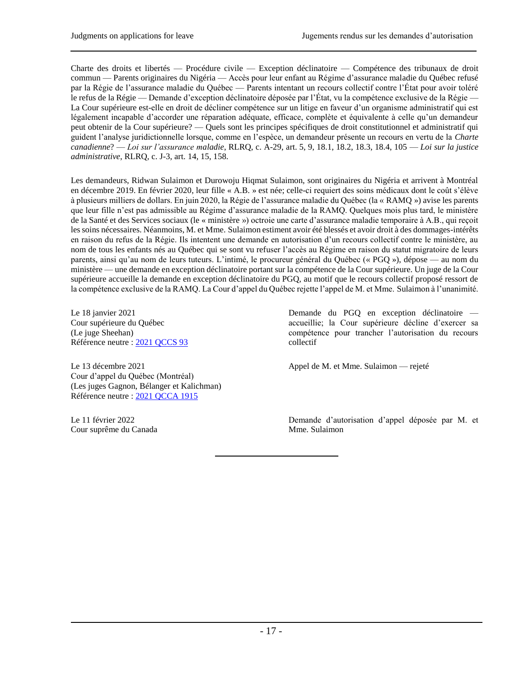Charte des droits et libertés — Procédure civile — Exception déclinatoire — Compétence des tribunaux de droit commun ⸺ Parents originaires du Nigéria — Accès pour leur enfant au Régime d'assurance maladie du Québec refusé par la Régie de l'assurance maladie du Québec — Parents intentant un recours collectif contre l'État pour avoir toléré le refus de la Régie — Demande d'exception déclinatoire déposée par l'État, vu la compétence exclusive de la Régie — La Cour supérieure est-elle en droit de décliner compétence sur un litige en faveur d'un organisme administratif qui est légalement incapable d'accorder une réparation adéquate, efficace, complète et équivalente à celle qu'un demandeur peut obtenir de la Cour supérieure? — Quels sont les principes spécifiques de droit constitutionnel et administratif qui guident l'analyse juridictionnelle lorsque, comme en l'espèce, un demandeur présente un recours en vertu de la *Charte canadienne*? — *Loi sur l'assurance maladie*, RLRQ, c. A-29, art. 5, 9, 18.1, 18.2, 18.3, 18.4, 105 — *Loi sur la justice administrative*, RLRQ, c. J-3, art. 14, 15, 158.

Les demandeurs, Ridwan Sulaimon et Durowoju Hiqmat Sulaimon, sont originaires du Nigéria et arrivent à Montréal en décembre 2019. En février 2020, leur fille « A.B. » est née; celle-ci requiert des soins médicaux dont le coût s'élève à plusieurs milliers de dollars. En juin 2020, la Régie de l'assurance maladie du Québec (la « RAMQ ») avise les parents que leur fille n'est pas admissible au Régime d'assurance maladie de la RAMQ. Quelques mois plus tard, le ministère de la Santé et des Services sociaux (le « ministère ») octroie une carte d'assurance maladie temporaire à A.B., qui reçoit les soins nécessaires. Néanmoins, M. et Mme. Sulaimon estiment avoir été blessés et avoir droit à des dommages-intérêts en raison du refus de la Régie. Ils intentent une demande en autorisation d'un recours collectif contre le ministère, au nom de tous les enfants nés au Québec qui se sont vu refuser l'accès au Régime en raison du statut migratoire de leurs parents, ainsi qu'au nom de leurs tuteurs. L'intimé, le procureur général du Québec (« PGQ »), dépose — au nom du ministère — une demande en exception déclinatoire portant sur la compétence de la Cour supérieure. Un juge de la Cour supérieure accueille la demande en exception déclinatoire du PGQ, au motif que le recours collectif proposé ressort de la compétence exclusive de la RAMQ. La Cour d'appel du Québec rejette l'appel de M. et Mme. Sulaimon à l'unanimité.

Le 18 janvier 2021 Cour supérieure du Québec (Le juge Sheehan) Référence neutre : [2021 QCCS 93](https://www.canlii.org/fr/qc/qccs/doc/2021/2021qccs93/2021qccs93.html)

Le 13 décembre 2021 Cour d'appel du Québec (Montréal) (Les juges Gagnon, Bélanger et Kalichman) Référence neutre : [2021 QCCA 1915](https://www.canlii.org/fr/qc/qcca/doc/2021/2021qcca1915/2021qcca1915.html)

Le 11 février 2022 Cour suprême du Canada Demande du PGQ en exception déclinatoire accueillie; la Cour supérieure décline d'exercer sa compétence pour trancher l'autorisation du recours collectif

Appel de M. et Mme. Sulaimon — rejeté

Demande d'autorisation d'appel déposée par M. et Mme. Sulaimon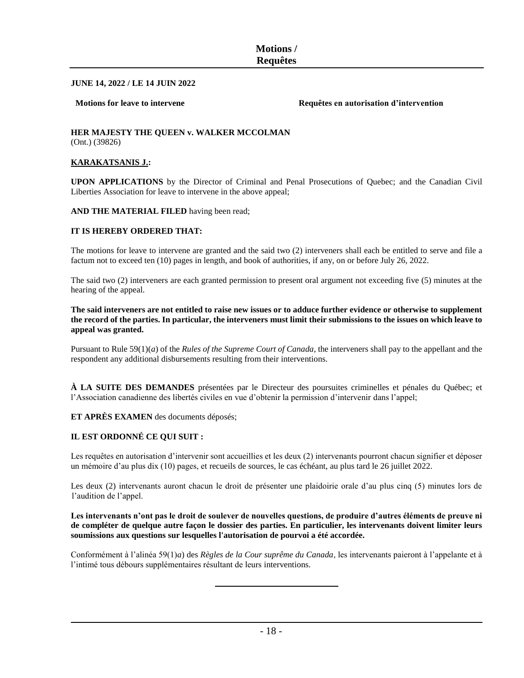#### <span id="page-19-0"></span>**JUNE 14, 2022 / LE 14 JUIN 2022**

#### **Motions for leave to intervene Requêtes en autorisation d'intervention**

#### **HER MAJESTY THE QUEEN v. WALKER MCCOLMAN** (Ont.) (39826)

#### **KARAKATSANIS J.:**

**UPON APPLICATIONS** by the Director of Criminal and Penal Prosecutions of Quebec; and the Canadian Civil Liberties Association for leave to intervene in the above appeal;

**AND THE MATERIAL FILED** having been read;

#### **IT IS HEREBY ORDERED THAT:**

The motions for leave to intervene are granted and the said two (2) interveners shall each be entitled to serve and file a factum not to exceed ten (10) pages in length, and book of authorities, if any, on or before July 26, 2022.

The said two (2) interveners are each granted permission to present oral argument not exceeding five (5) minutes at the hearing of the appeal.

**The said interveners are not entitled to raise new issues or to adduce further evidence or otherwise to supplement the record of the parties. In particular, the interveners must limit their submissions to the issues on which leave to appeal was granted.**

Pursuant to Rule 59(1)(*a*) of the *Rules of the Supreme Court of Canada*, the interveners shall pay to the appellant and the respondent any additional disbursements resulting from their interventions.

**À LA SUITE DES DEMANDES** présentées par le Directeur des poursuites criminelles et pénales du Québec; et l'Association canadienne des libertés civiles en vue d'obtenir la permission d'intervenir dans l'appel;

**ET APRÈS EXAMEN** des documents déposés;

#### **IL EST ORDONNÉ CE QUI SUIT :**

Les requêtes en autorisation d'intervenir sont accueillies et les deux (2) intervenants pourront chacun signifier et déposer un mémoire d'au plus dix (10) pages, et recueils de sources, le cas échéant, au plus tard le 26 juillet 2022.

Les deux (2) intervenants auront chacun le droit de présenter une plaidoirie orale d'au plus cinq (5) minutes lors de l'audition de l'appel.

**Les intervenants n'ont pas le droit de soulever de nouvelles questions, de produire d'autres éléments de preuve ni de compléter de quelque autre façon le dossier des parties. En particulier, les intervenants doivent limiter leurs soumissions aux questions sur lesquelles l'autorisation de pourvoi a été accordée.**

Conformément à l'alinéa 59(1)*a*) des *Règles de la Cour suprême du Canada*, les intervenants paieront à l'appelante et à l'intimé tous débours supplémentaires résultant de leurs interventions.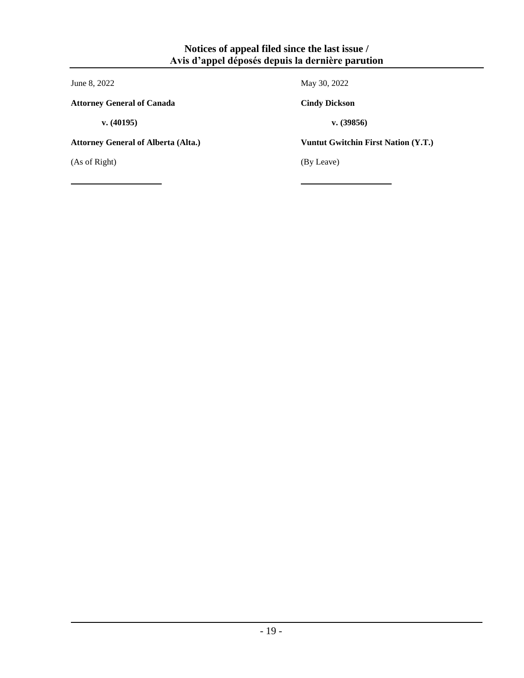# **Notices of appeal filed since the last issue / Avis d'appel déposés depuis la dernière parution**

<span id="page-20-0"></span>June 8, 2022

**Attorney General of Canada**

**v. (40195)**

**Attorney General of Alberta (Alta.)**

(As of Right)

May 30, 2022

**Cindy Dickson**

**v. (39856)**

**Vuntut Gwitchin First Nation (Y.T.)**

(By Leave)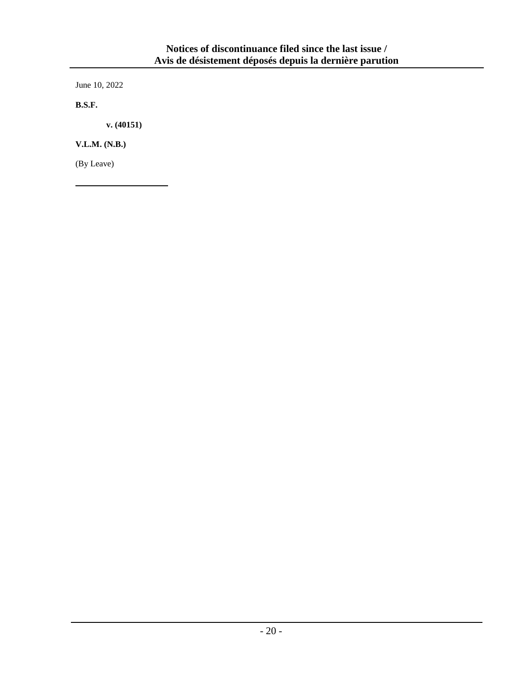<span id="page-21-0"></span>June 10, 2022

**B.S.F.**

**v. (40151)**

**V.L.M. (N.B.)**

(By Leave)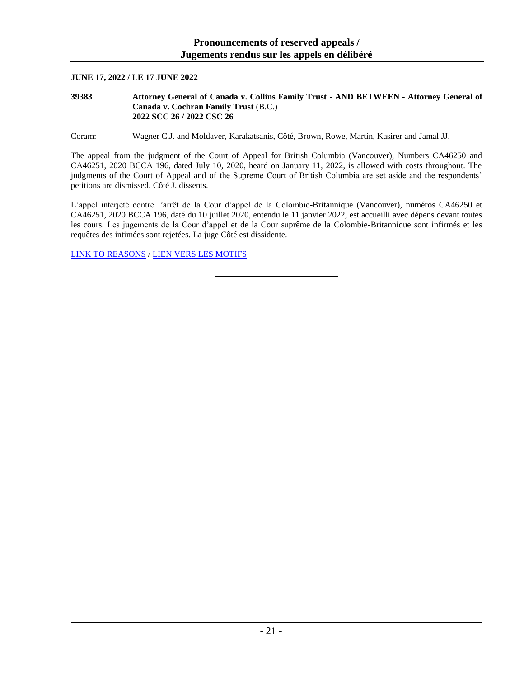#### <span id="page-22-0"></span>**JUNE 17, 2022 / LE 17 JUNE 2022**

#### **39383 Attorney General of Canada v. Collins Family Trust - AND BETWEEN - Attorney General of Canada v. Cochran Family Trust** (B.C.) **2022 SCC 26 / 2022 CSC 26**

Coram: Wagner C.J. and Moldaver, Karakatsanis, Côté, Brown, Rowe, Martin, Kasirer and Jamal JJ.

The appeal from the judgment of the Court of Appeal for British Columbia (Vancouver), Numbers CA46250 and CA46251, 2020 BCCA 196, dated July 10, 2020, heard on January 11, 2022, is allowed with costs throughout. The judgments of the Court of Appeal and of the Supreme Court of British Columbia are set aside and the respondents' petitions are dismissed. Côté J. dissents.

L'appel interjeté contre l'arrêt de la Cour d'appel de la Colombie-Britannique (Vancouver), numéros CA46250 et CA46251, 2020 BCCA 196, daté du 10 juillet 2020, entendu le 11 janvier 2022, est accueilli avec dépens devant toutes les cours. Les jugements de la Cour d'appel et de la Cour suprême de la Colombie-Britannique sont infirmés et les requêtes des intimées sont rejetées. La juge Côté est dissidente.

[LINK TO REASONS](https://decisions.scc-csc.ca/scc-csc/scc-csc/en/item/19423/index.do) / [LIEN VERS LES MOTIFS](https://decisions.scc-csc.ca/scc-csc/scc-csc/fr/item/19423/index.do)